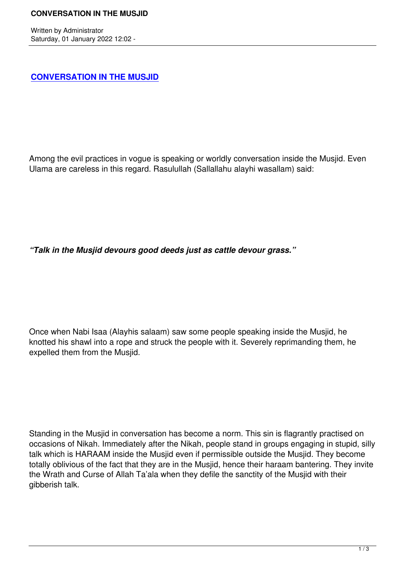Written by Administrator and Administrator and Administrator and Administrator and Administrator and Administrator and Administrator and Administrator and Administrator and Administrator and Administrator and Administrator

## **CONVERSATION IN THE MUSJID**

Among the evil practices in vogue is speaking or worldly conversation inside the Musjid. Even Ulama are careless in this regard. Rasulullah (Sallallahu alayhi wasallam) said:

*"Talk in the Musjid devours good deeds just as cattle devour grass."*

Once when Nabi Isaa (Alayhis salaam) saw some people speaking inside the Musjid, he knotted his shawl into a rope and struck the people with it. Severely reprimanding them, he expelled them from the Musjid.

Standing in the Musjid in conversation has become a norm. This sin is flagrantly practised on occasions of Nikah. Immediately after the Nikah, people stand in groups engaging in stupid, silly talk which is HARAAM inside the Musjid even if permissible outside the Musjid. They become totally oblivious of the fact that they are in the Musjid, hence their haraam bantering. They invite the Wrath and Curse of Allah Ta'ala when they defile the sanctity of the Musjid with their gibberish talk.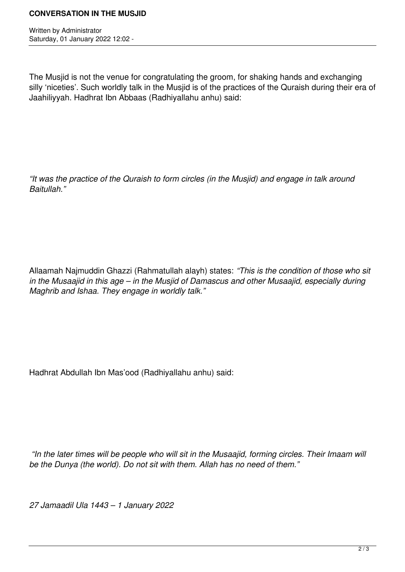Written by Administrator Saturday, 01 January 2022 12:02 -

The Musjid is not the venue for congratulating the groom, for shaking hands and exchanging silly 'niceties'. Such worldly talk in the Musjid is of the practices of the Quraish during their era of Jaahiliyyah. Hadhrat Ibn Abbaas (Radhiyallahu anhu) said:

*"It was the practice of the Quraish to form circles (in the Musjid) and engage in talk around Baitullah."*

Allaamah Najmuddin Ghazzi (Rahmatullah alayh) states: *"This is the condition of those who sit in the Musaajid in this age – in the Musjid of Damascus and other Musaajid, especially during Maghrib and Ishaa. They engage in worldly talk."*

Hadhrat Abdullah Ibn Mas'ood (Radhiyallahu anhu) said:

 *"In the later times will be people who will sit in the Musaajid, forming circles. Their Imaam will be the Dunya (the world). Do not sit with them. Allah has no need of them."*

*27 Jamaadil Ula 1443 – 1 January 2022*